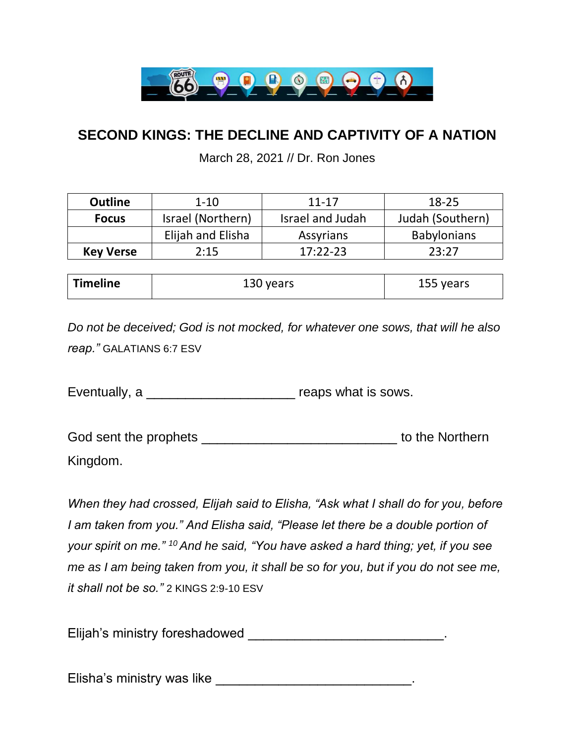

## **SECOND KINGS: THE DECLINE AND CAPTIVITY OF A NATION**

March 28, 2021 // Dr. Ron Jones

| <b>Outline</b>   | $1 - 10$          | $11 - 17$        | 18-25              |
|------------------|-------------------|------------------|--------------------|
| <b>Focus</b>     | Israel (Northern) | Israel and Judah | Judah (Southern)   |
|                  | Elijah and Elisha | Assyrians        | <b>Babylonians</b> |
| <b>Key Verse</b> | 2:15              | $17:22-23$       | フマ・フフ              |

| <sup> </sup> Timeline<br>130 years | 155 years |
|------------------------------------|-----------|
|------------------------------------|-----------|

*Do not be deceived; God is not mocked, for whatever one sows, that will he also reap."* GALATIANS 6:7 ESV

Eventually, a \_\_\_\_\_\_\_\_\_\_\_\_\_\_\_\_\_\_\_ reaps what is sows.

God sent the prophets \_\_\_\_\_\_\_\_\_\_\_\_\_\_\_\_\_\_\_\_\_\_\_\_\_\_\_\_\_\_\_\_\_\_ to the Northern Kingdom.

*When they had crossed, Elijah said to Elisha, "Ask what I shall do for you, before I am taken from you." And Elisha said, "Please let there be a double portion of your spirit on me." <sup>10</sup> And he said, "You have asked a hard thing; yet, if you see me as I am being taken from you, it shall be so for you, but if you do not see me, it shall not be so."* 2 KINGS 2:9-10 ESV

Elijah's ministry foreshadowed \_\_\_\_\_\_\_\_\_\_\_\_\_\_\_\_\_\_\_\_\_\_\_\_\_\_\_\_\_\_\_\_\_.

Elisha's ministry was like \_\_\_\_\_\_\_\_\_\_\_\_\_\_\_\_\_\_\_\_\_\_\_\_\_\_\_\_\_\_\_\_.